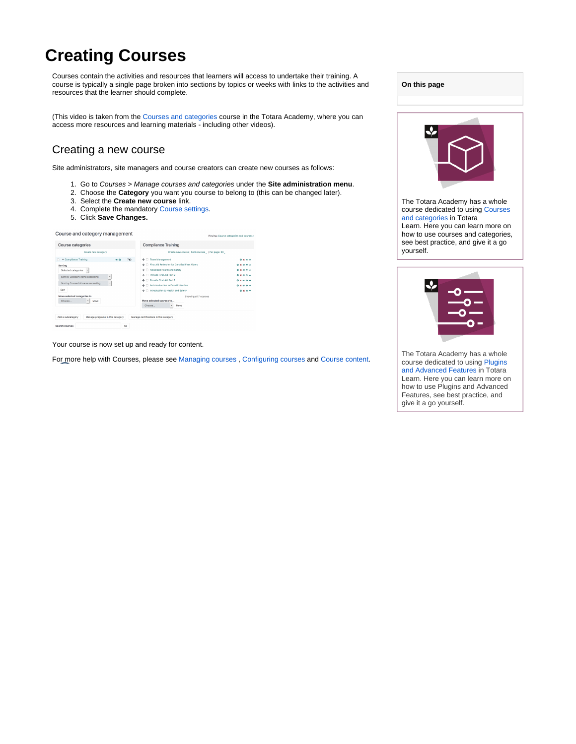# **Creating Courses**

Courses contain the activities and resources that learners will access to undertake their training. A course is typically a single page broken into sections by topics or weeks with links to the activities and resources that the learner should complete.

(This video is taken from the [Courses and categories](https://totara.community/course/view.php?id=248) course in the Totara Academy, where you can access more resources and learning materials - including other videos).

### Creating a new course

Site administrators, site managers and course creators can create new courses as follows:

- 1. Go to Courses > Manage courses and categories under the **Site administration menu**.
- 2. Choose the **Category** you want you course to belong to (this can be changed later).
- 3. Select the **Create new course** link.
- 4. Complete the mandatory [Course settings.](#page-1-0)
- 5. Click **Save Changes.**

#### Course and category management

| Create new course   Sort courses _   Per page: 20 _ |                  |
|-----------------------------------------------------|------------------|
| + C Team Management                                 | $0 \times 0.4$   |
| + C First Aid Refresher for Certified First Aiders  | <b>0 ¥ @ A J</b> |
| Advanced Health and Safety<br>$+1$                  | <b>8x844</b>     |
| 4- Provide First Ald Part 2                         | $0 x x + 4$      |
| Provide First Aid Part 1<br>÷.                      | <b>0 ¥ @ A J</b> |
| An Introduction to Data Protection<br>$+1$          | <b>8x844</b>     |
| + Fintroduction to Health and Safety                | $0 \times A$     |
| Showing all 7 courses                               |                  |
| Move selected courses to                            |                  |
| Choose<br>Move<br>٠                                 |                  |
|                                                     |                  |

Your course is now set up and ready for content.

For more help with Courses, please see [Managing courses](https://help.totaralearning.com/display/TL110/Managing+Courses) , [Configuring courses](https://help.totaralearning.com/display/TL110/Configuring+Courses) and [Course content.](https://help.totaralearning.com/display/TL110/Course+Preparation)





see best practice, and give it a go

yourself.

The Totara Academy has a whole course dedicated to using [Plugins](https://totara.community/course/view.php?id=251)  [and Advanced Features i](https://totara.community/course/view.php?id=251)n Totara Learn. Here you can learn more on how to use Plugins and Advanced Features, see best practice, and give it a go yourself.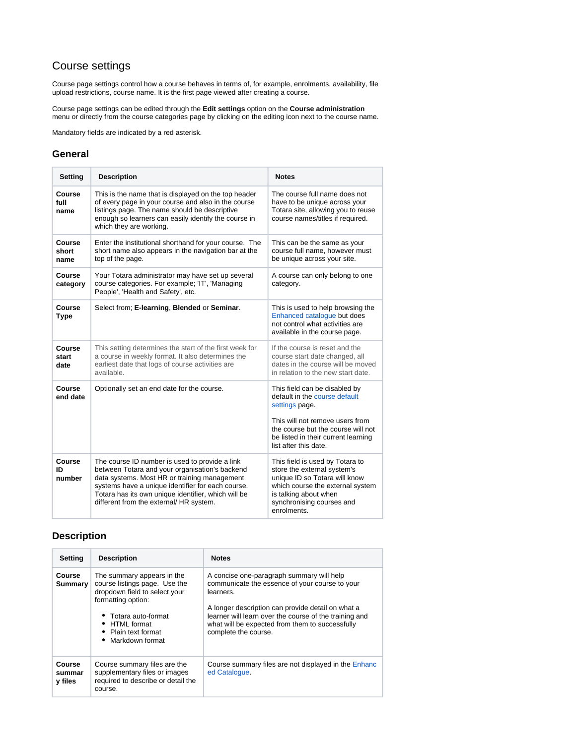## <span id="page-1-0"></span>Course settings

Course page settings control how a course behaves in terms of, for example, enrolments, availability, file upload restrictions, course name. It is the first page viewed after creating a course.

Course page settings can be edited through the **Edit settings** option on the **Course administration** menu or directly from the course categories page by clicking on the editing icon next to the course name.

Mandatory fields are indicated by a red asterisk.

### **General**

| Setting                 | <b>Description</b>                                                                                                                                                                                                                                                                                      | <b>Notes</b>                                                                                                                                                                                                              |
|-------------------------|---------------------------------------------------------------------------------------------------------------------------------------------------------------------------------------------------------------------------------------------------------------------------------------------------------|---------------------------------------------------------------------------------------------------------------------------------------------------------------------------------------------------------------------------|
| Course<br>full<br>name  | This is the name that is displayed on the top header<br>of every page in your course and also in the course<br>listings page. The name should be descriptive<br>enough so learners can easily identify the course in<br>which they are working.                                                         | The course full name does not<br>have to be unique across your<br>Totara site, allowing you to reuse<br>course names/titles if required.                                                                                  |
| Course<br>short<br>name | Enter the institutional shorthand for your course. The<br>short name also appears in the navigation bar at the<br>top of the page.                                                                                                                                                                      | This can be the same as your<br>course full name, however must<br>be unique across your site.                                                                                                                             |
| Course<br>category      | Your Totara administrator may have set up several<br>course categories. For example; 'IT', 'Managing<br>People', 'Health and Safety', etc.                                                                                                                                                              | A course can only belong to one<br>category.                                                                                                                                                                              |
| Course<br><b>Type</b>   | Select from; E-learning, Blended or Seminar.                                                                                                                                                                                                                                                            | This is used to help browsing the<br>Enhanced catalogue but does<br>not control what activities are<br>available in the course page.                                                                                      |
| Course<br>start<br>date | This setting determines the start of the first week for<br>a course in weekly format. It also determines the<br>earliest date that logs of course activities are<br>available.                                                                                                                          | If the course is reset and the<br>course start date changed, all<br>dates in the course will be moved<br>in relation to the new start date.                                                                               |
| Course<br>end date      | Optionally set an end date for the course.                                                                                                                                                                                                                                                              | This field can be disabled by<br>default in the course default<br>settings page.<br>This will not remove users from<br>the course but the course will not<br>be listed in their current learning<br>list after this date. |
| Course<br>חו<br>number  | The course ID number is used to provide a link<br>between Totara and your organisation's backend<br>data systems. Most HR or training management<br>systems have a unique identifier for each course.<br>Totara has its own unique identifier, which will be<br>different from the external/ HR system. | This field is used by Totara to<br>store the external system's<br>unique ID so Totara will know<br>which course the external system<br>is talking about when<br>synchronising courses and<br>enrolments.                  |

### **Description**

| <b>Setting</b>                     | <b>Description</b>                                                                                                                                                                                      | <b>Notes</b>                                                                                                                                                                                                                                                                                       |
|------------------------------------|---------------------------------------------------------------------------------------------------------------------------------------------------------------------------------------------------------|----------------------------------------------------------------------------------------------------------------------------------------------------------------------------------------------------------------------------------------------------------------------------------------------------|
| Course<br>Summary                  | The summary appears in the<br>course listings page. Use the<br>dropdown field to select your<br>formatting option:<br>• Totara auto-format<br>• HTML format<br>• Plain text format<br>• Markdown format | A concise one-paragraph summary will help<br>communicate the essence of your course to your<br>learners.<br>A longer description can provide detail on what a<br>learner will learn over the course of the training and<br>what will be expected from them to successfully<br>complete the course. |
| <b>Course</b><br>summar<br>y files | Course summary files are the<br>supplementary files or images<br>required to describe or detail the<br>course.                                                                                          | Course summary files are not displayed in the Enhanc<br>ed Catalogue.                                                                                                                                                                                                                              |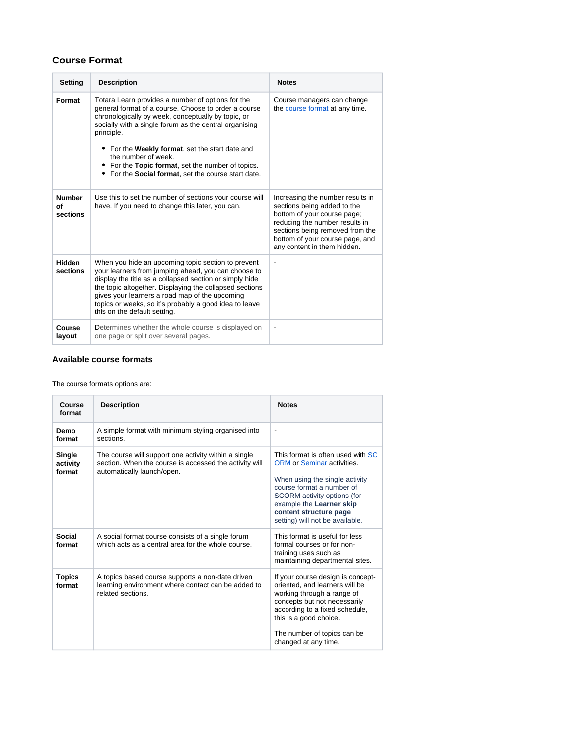### **Course Format**

| <b>Setting</b>                  | <b>Description</b>                                                                                                                                                                                                                                                                                                                                                                                                          | <b>Notes</b>                                                                                                                                                                                                                          |
|---------------------------------|-----------------------------------------------------------------------------------------------------------------------------------------------------------------------------------------------------------------------------------------------------------------------------------------------------------------------------------------------------------------------------------------------------------------------------|---------------------------------------------------------------------------------------------------------------------------------------------------------------------------------------------------------------------------------------|
| Format                          | Totara Learn provides a number of options for the<br>general format of a course. Choose to order a course<br>chronologically by week, conceptually by topic, or<br>socially with a single forum as the central organising<br>principle.<br>• For the Weekly format, set the start date and<br>the number of week.<br>For the Topic format, set the number of topics.<br>• For the Social format, set the course start date. | Course managers can change<br>the course format at any time.                                                                                                                                                                          |
| <b>Number</b><br>οf<br>sections | Use this to set the number of sections your course will<br>have. If you need to change this later, you can.                                                                                                                                                                                                                                                                                                                 | Increasing the number results in<br>sections being added to the<br>bottom of your course page;<br>reducing the number results in<br>sections being removed from the<br>bottom of your course page, and<br>any content in them hidden. |
| <b>Hidden</b><br>sections       | When you hide an upcoming topic section to prevent<br>your learners from jumping ahead, you can choose to<br>display the title as a collapsed section or simply hide<br>the topic altogether. Displaying the collapsed sections<br>gives your learners a road map of the upcoming<br>topics or weeks, so it's probably a good idea to leave<br>this on the default setting.                                                 | $\overline{\phantom{a}}$                                                                                                                                                                                                              |
| Course<br>layout                | Determines whether the whole course is displayed on<br>one page or split over several pages.                                                                                                                                                                                                                                                                                                                                | $\overline{\phantom{a}}$                                                                                                                                                                                                              |

#### **Available course formats**

The course formats options are:

| Course<br>format             | <b>Description</b>                                                                                                                           | <b>Notes</b>                                                                                                                                                                                                                                           |
|------------------------------|----------------------------------------------------------------------------------------------------------------------------------------------|--------------------------------------------------------------------------------------------------------------------------------------------------------------------------------------------------------------------------------------------------------|
| Demo<br>format               | A simple format with minimum styling organised into<br>sections                                                                              | $\overline{\phantom{a}}$                                                                                                                                                                                                                               |
| Single<br>activity<br>format | The course will support one activity within a single<br>section. When the course is accessed the activity will<br>automatically launch/open. | This format is often used with SC<br>ORM or Seminar activities.<br>When using the single activity<br>course format a number of<br>SCORM activity options (for<br>example the Learner skip<br>content structure page<br>setting) will not be available. |
| Social<br>format             | A social format course consists of a single forum<br>which acts as a central area for the whole course.                                      | This format is useful for less<br>formal courses or for non-<br>training uses such as<br>maintaining departmental sites.                                                                                                                               |
| <b>Topics</b><br>format      | A topics based course supports a non-date driven<br>learning environment where contact can be added to<br>related sections.                  | If your course design is concept-<br>oriented, and learners will be<br>working through a range of<br>concepts but not necessarily<br>according to a fixed schedule,<br>this is a good choice.                                                          |
|                              |                                                                                                                                              | The number of topics can be.<br>changed at any time.                                                                                                                                                                                                   |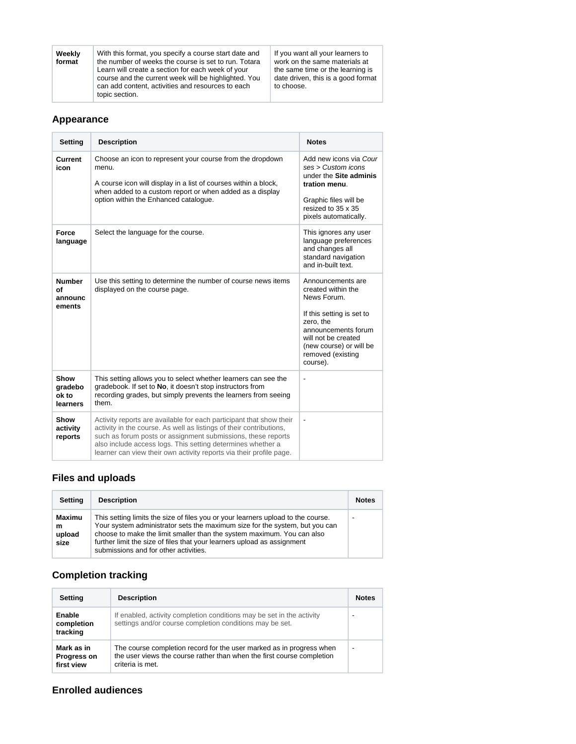| work on the same materials at<br>the number of weeks the course is set to run. Totara<br>format<br>the same time or the learning is<br>Learn will create a section for each week of your<br>date driven, this is a good format<br>course and the current week will be highlighted. You<br>can add content, activities and resources to each<br>to choose.<br>topic section. |
|-----------------------------------------------------------------------------------------------------------------------------------------------------------------------------------------------------------------------------------------------------------------------------------------------------------------------------------------------------------------------------|
|-----------------------------------------------------------------------------------------------------------------------------------------------------------------------------------------------------------------------------------------------------------------------------------------------------------------------------------------------------------------------------|

### **Appearance**

| <b>Setting</b>                           | <b>Description</b>                                                                                                                                                                                                                                                                                                                               | <b>Notes</b>                                                                                                                                                                                               |
|------------------------------------------|--------------------------------------------------------------------------------------------------------------------------------------------------------------------------------------------------------------------------------------------------------------------------------------------------------------------------------------------------|------------------------------------------------------------------------------------------------------------------------------------------------------------------------------------------------------------|
| Current<br>icon                          | Choose an icon to represent your course from the dropdown<br>menu.<br>A course icon will display in a list of courses within a block,<br>when added to a custom report or when added as a display<br>option within the Enhanced catalogue.                                                                                                       | Add new icons via Cour<br>ses > Customer<br>under the Site adminis<br>tration menu.<br>Graphic files will be<br>resized to 35 x 35<br>pixels automatically.                                                |
| Force<br>language                        | Select the language for the course.                                                                                                                                                                                                                                                                                                              | This ignores any user<br>language preferences<br>and changes all<br>standard navigation<br>and in-built text.                                                                                              |
| <b>Number</b><br>of<br>announc<br>ements | Use this setting to determine the number of course news items<br>displayed on the course page.                                                                                                                                                                                                                                                   | Announcements are<br>created within the<br>News Forum.<br>If this setting is set to<br>zero, the<br>announcements forum<br>will not be created<br>(new course) or will be<br>removed (existing<br>course). |
| Show<br>gradebo<br>ok to<br>learners     | This setting allows you to select whether learners can see the<br>gradebook. If set to No, it doesn't stop instructors from<br>recording grades, but simply prevents the learners from seeing<br>them.                                                                                                                                           | $\overline{\phantom{a}}$                                                                                                                                                                                   |
| Show<br>activity<br>reports              | Activity reports are available for each participant that show their<br>activity in the course. As well as listings of their contributions,<br>such as forum posts or assignment submissions, these reports<br>also include access logs. This setting determines whether a<br>learner can view their own activity reports via their profile page. | $\blacksquare$                                                                                                                                                                                             |

## **Files and uploads**

| Setting                       | <b>Description</b>                                                                                                                                                                                                                                                                                                                                            | <b>Notes</b>             |
|-------------------------------|---------------------------------------------------------------------------------------------------------------------------------------------------------------------------------------------------------------------------------------------------------------------------------------------------------------------------------------------------------------|--------------------------|
| Maximu<br>m<br>upload<br>size | This setting limits the size of files you or your learners upload to the course.<br>Your system administrator sets the maximum size for the system, but you can<br>choose to make the limit smaller than the system maximum. You can also<br>further limit the size of files that your learners upload as assignment<br>submissions and for other activities. | $\overline{\phantom{0}}$ |

# **Completion tracking**

| <b>Setting</b>                                                                                                                                                                                                       | <b>Description</b>                                                                                                                |                          |
|----------------------------------------------------------------------------------------------------------------------------------------------------------------------------------------------------------------------|-----------------------------------------------------------------------------------------------------------------------------------|--------------------------|
| Enable<br>completion<br>tracking                                                                                                                                                                                     | If enabled, activity completion conditions may be set in the activity<br>settings and/or course completion conditions may be set. |                          |
| The course completion record for the user marked as in progress when<br>Mark as in<br>the user views the course rather than when the first course completion<br><b>Progress on</b><br>criteria is met.<br>first view |                                                                                                                                   | $\overline{\phantom{a}}$ |

### **Enrolled audiences**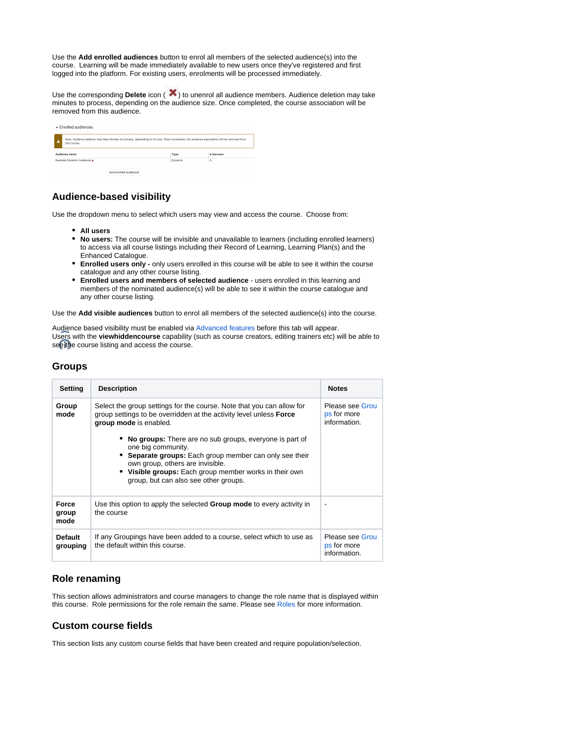Use the **Add enrolled audiences** button to enrol all members of the selected audience(s) into the course. Learning will be made immediately available to new users once they've registered and first logged into the platform. For existing users, enrolments will be processed immediately.

Use the corresponding **Delete** icon ( $\blacktriangleright$ ) to unenrol all audience members. Audience deletion may take minutes to process, depending on the audience size. Once completed, the course association will be removed from this audience.

|                                     | $\blacktriangleright$ Enrolled audiences |                                                                                                                                           |         |  |
|-------------------------------------|------------------------------------------|-------------------------------------------------------------------------------------------------------------------------------------------|---------|--|
| $\Lambda$                           | this course.                             | Note: Audience deletion may take minutes to process, depending on its size. Once completed, the audience association will be removed from |         |  |
| Audience name<br># learners<br>Type |                                          |                                                                                                                                           |         |  |
| Example Dynamic Audience x          |                                          | Dynamic                                                                                                                                   | $\circ$ |  |
|                                     |                                          |                                                                                                                                           |         |  |

### **Audience-based visibility**

Use the dropdown menu to select which users may view and access the course. Choose from:

- **All users**
- **No users:** The course will be invisible and unavailable to learners (including enrolled learners) to access via all course listings including their Record of Learning, Learning Plan(s) and the Enhanced Catalogue.
- **Enrolled users only -** only users enrolled in this course will be able to see it within the course catalogue and any other course listing.
- **Enrolled users and members of selected audience** users enrolled in this learning and members of the nominated audience(s) will be able to see it within the course catalogue and any other course listing.

Use the **Add visible audiences** button to enrol all members of the selected audience(s) into the course.

Audience based visibility must be enabled via [Advanced features](https://help.totaralearning.com/display/TL12/Advanced+Features) before this tab will appear. Users with the **viewhiddencourse** capability (such as course creators, editing trainers etc) will be able to see the course listing and access the course.

#### **Groups**

| Setting                       | <b>Description</b>                                                                                                                                                                                                                                                            | <b>Notes</b>                                   |
|-------------------------------|-------------------------------------------------------------------------------------------------------------------------------------------------------------------------------------------------------------------------------------------------------------------------------|------------------------------------------------|
| Group<br>mode                 | Select the group settings for the course. Note that you can allow for<br>group settings to be overridden at the activity level unless <b>Force</b><br>group mode is enabled.                                                                                                  | Please see Grou<br>ps for more<br>information. |
|                               | No groups: There are no sub groups, everyone is part of<br>one big community.<br>Separate groups: Each group member can only see their<br>own group, others are invisible.<br>• Visible groups: Each group member works in their own<br>group, but can also see other groups. |                                                |
| <b>Force</b><br>group<br>mode | Use this option to apply the selected <b>Group mode</b> to every activity in<br>the course                                                                                                                                                                                    | ۰                                              |
| <b>Default</b><br>grouping    | If any Groupings have been added to a course, select which to use as<br>the default within this course.                                                                                                                                                                       | Please see Grou<br>ps for more<br>information. |

### **Role renaming**

This section allows administrators and course managers to change the role name that is displayed within this course. Role permissions for the role remain the same. Please see [Roles](https://help.totaralearning.com/display/TL110/Roles) for more information.

#### **Custom course fields**

This section lists any custom course fields that have been created and require population/selection.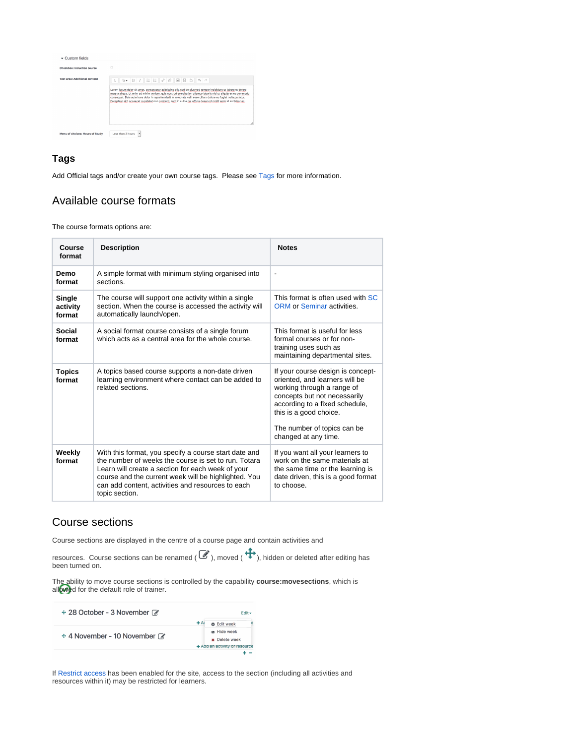

### **Tags**

Add Official tags and/or create your own course tags. Please see [Tags](https://help.totaralearning.com/display/TL110/Tags) for more information.

### Available course formats

The course formats options are:

| Course<br>format                                                                                                   | <b>Description</b>                                                                                                                                                                                                                                                                                | <b>Notes</b>                                                                                                                                                                                                                                         |  |
|--------------------------------------------------------------------------------------------------------------------|---------------------------------------------------------------------------------------------------------------------------------------------------------------------------------------------------------------------------------------------------------------------------------------------------|------------------------------------------------------------------------------------------------------------------------------------------------------------------------------------------------------------------------------------------------------|--|
| A simple format with minimum styling organised into<br>Demo<br>$\qquad \qquad \blacksquare$<br>sections.<br>format |                                                                                                                                                                                                                                                                                                   |                                                                                                                                                                                                                                                      |  |
| Single<br>activity<br>format                                                                                       | The course will support one activity within a single<br>section. When the course is accessed the activity will<br>automatically launch/open.                                                                                                                                                      | This format is often used with SC<br>ORM or Seminar activities.                                                                                                                                                                                      |  |
| Social<br>format                                                                                                   | A social format course consists of a single forum<br>which acts as a central area for the whole course.                                                                                                                                                                                           | This format is useful for less<br>formal courses or for non-<br>training uses such as<br>maintaining departmental sites.                                                                                                                             |  |
| <b>Topics</b><br>format                                                                                            | A topics based course supports a non-date driven<br>learning environment where contact can be added to<br>related sections.                                                                                                                                                                       | If your course design is concept-<br>oriented, and learners will be<br>working through a range of<br>concepts but not necessarily<br>according to a fixed schedule,<br>this is a good choice.<br>The number of topics can be<br>changed at any time. |  |
| Weekly<br>format                                                                                                   | With this format, you specify a course start date and<br>the number of weeks the course is set to run. Totara<br>Learn will create a section for each week of your<br>course and the current week will be highlighted. You<br>can add content, activities and resources to each<br>topic section. | If you want all your learners to<br>work on the same materials at<br>the same time or the learning is<br>date driven, this is a good format<br>to choose.                                                                                            |  |

### Course sections

Course sections are displayed in the centre of a course page and contain activities and

```
resources. Course sections can be renamed (\circled{3}), moved (\leftrightarrow), hidden or deleted after editing has
been turned on.
```
The ability to move course sections is controlled by the capability **course:movesections**, which is allowed for the default role of trainer.

| $\div$ 28 October - 3 November $\vec{\alpha}$ | $F$ dit $\star$               |
|-----------------------------------------------|-------------------------------|
|                                               | $+$ A<br><b>D</b> Edit week   |
| $\div$ 4 November - 10 November $\mathbb{Z}$  | ® Hide week                   |
|                                               | <b>x</b> Delete week          |
|                                               | + Add an activity or resource |
|                                               |                               |

If [Restrict access](https://help.totaralearning.com/display/TL110/Restrict+Access) has been enabled for the site, access to the section (including all activities and resources within it) may be restricted for learners.